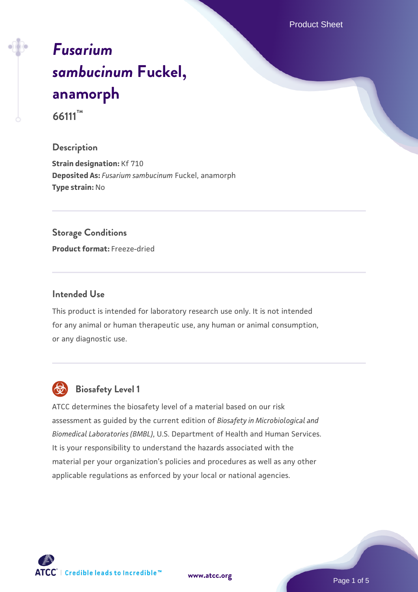Product Sheet

# *[Fusarium](https://www.atcc.org/products/66111) [sambucinum](https://www.atcc.org/products/66111)* **[Fuckel,](https://www.atcc.org/products/66111) [anamorph](https://www.atcc.org/products/66111) 66111™**

#### **Description**

**Strain designation:** Kf 710 **Deposited As:** *Fusarium sambucinum* Fuckel, anamorph **Type strain:** No

#### **Storage Conditions**

**Product format:** Freeze-dried

## **Intended Use**

This product is intended for laboratory research use only. It is not intended for any animal or human therapeutic use, any human or animal consumption, or any diagnostic use.



# **Biosafety Level 1**

ATCC determines the biosafety level of a material based on our risk assessment as guided by the current edition of *Biosafety in Microbiological and Biomedical Laboratories (BMBL)*, U.S. Department of Health and Human Services. It is your responsibility to understand the hazards associated with the material per your organization's policies and procedures as well as any other applicable regulations as enforced by your local or national agencies.

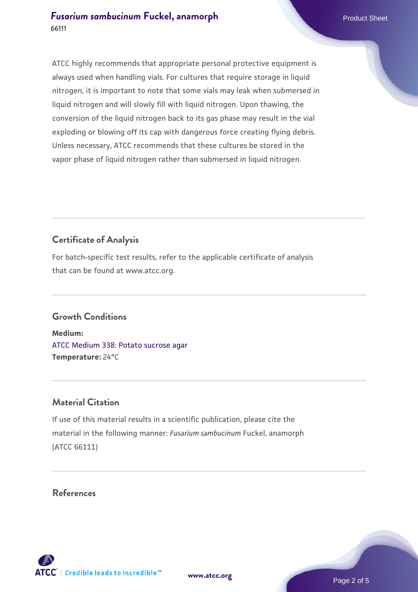# **[Fusarium sambucinum](https://www.atcc.org/products/66111) [Fuckel, anamorph](https://www.atcc.org/products/66111)** Product Sheet **66111**

ATCC highly recommends that appropriate personal protective equipment is always used when handling vials. For cultures that require storage in liquid nitrogen, it is important to note that some vials may leak when submersed in liquid nitrogen and will slowly fill with liquid nitrogen. Upon thawing, the conversion of the liquid nitrogen back to its gas phase may result in the vial exploding or blowing off its cap with dangerous force creating flying debris. Unless necessary, ATCC recommends that these cultures be stored in the vapor phase of liquid nitrogen rather than submersed in liquid nitrogen.

# **Certificate of Analysis**

For batch-specific test results, refer to the applicable certificate of analysis that can be found at www.atcc.org.

# **Growth Conditions**

**Medium:**  [ATCC Medium 338: Potato sucrose agar](https://www.atcc.org/-/media/product-assets/documents/microbial-media-formulations/3/3/8/atcc-medium-338.pdf?rev=46546b6f4a85482b856b30458c18db73) **Temperature:** 24°C

# **Material Citation**

If use of this material results in a scientific publication, please cite the material in the following manner: *Fusarium sambucinum* Fuckel, anamorph (ATCC 66111)

## **References**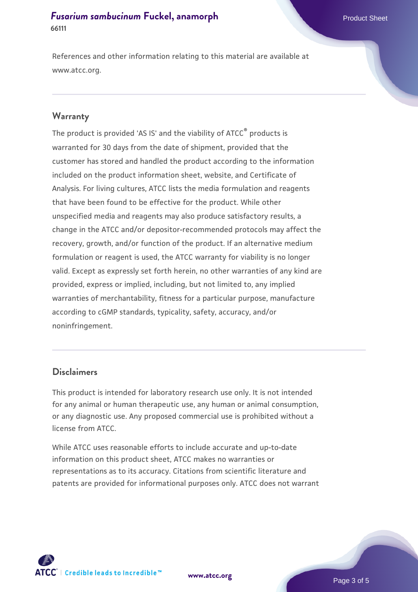# **[Fusarium sambucinum](https://www.atcc.org/products/66111) [Fuckel, anamorph](https://www.atcc.org/products/66111)** Product Sheet **66111**

References and other information relating to this material are available at www.atcc.org.

#### **Warranty**

The product is provided 'AS IS' and the viability of ATCC® products is warranted for 30 days from the date of shipment, provided that the customer has stored and handled the product according to the information included on the product information sheet, website, and Certificate of Analysis. For living cultures, ATCC lists the media formulation and reagents that have been found to be effective for the product. While other unspecified media and reagents may also produce satisfactory results, a change in the ATCC and/or depositor-recommended protocols may affect the recovery, growth, and/or function of the product. If an alternative medium formulation or reagent is used, the ATCC warranty for viability is no longer valid. Except as expressly set forth herein, no other warranties of any kind are provided, express or implied, including, but not limited to, any implied warranties of merchantability, fitness for a particular purpose, manufacture according to cGMP standards, typicality, safety, accuracy, and/or noninfringement.

### **Disclaimers**

This product is intended for laboratory research use only. It is not intended for any animal or human therapeutic use, any human or animal consumption, or any diagnostic use. Any proposed commercial use is prohibited without a license from ATCC.

While ATCC uses reasonable efforts to include accurate and up-to-date information on this product sheet, ATCC makes no warranties or representations as to its accuracy. Citations from scientific literature and patents are provided for informational purposes only. ATCC does not warrant

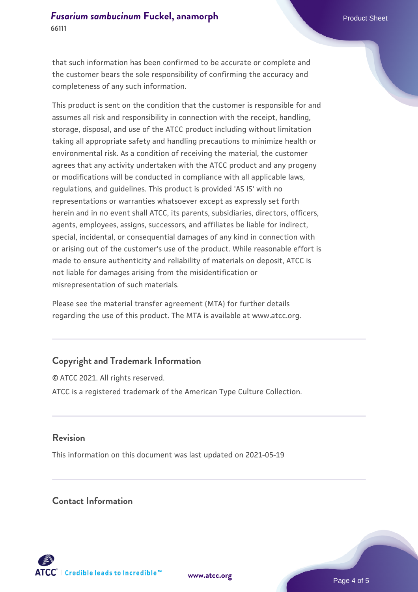that such information has been confirmed to be accurate or complete and the customer bears the sole responsibility of confirming the accuracy and completeness of any such information.

This product is sent on the condition that the customer is responsible for and assumes all risk and responsibility in connection with the receipt, handling, storage, disposal, and use of the ATCC product including without limitation taking all appropriate safety and handling precautions to minimize health or environmental risk. As a condition of receiving the material, the customer agrees that any activity undertaken with the ATCC product and any progeny or modifications will be conducted in compliance with all applicable laws, regulations, and guidelines. This product is provided 'AS IS' with no representations or warranties whatsoever except as expressly set forth herein and in no event shall ATCC, its parents, subsidiaries, directors, officers, agents, employees, assigns, successors, and affiliates be liable for indirect, special, incidental, or consequential damages of any kind in connection with or arising out of the customer's use of the product. While reasonable effort is made to ensure authenticity and reliability of materials on deposit, ATCC is not liable for damages arising from the misidentification or misrepresentation of such materials.

Please see the material transfer agreement (MTA) for further details regarding the use of this product. The MTA is available at www.atcc.org.

# **Copyright and Trademark Information**

© ATCC 2021. All rights reserved. ATCC is a registered trademark of the American Type Culture Collection.

## **Revision**

This information on this document was last updated on 2021-05-19

## **Contact Information**